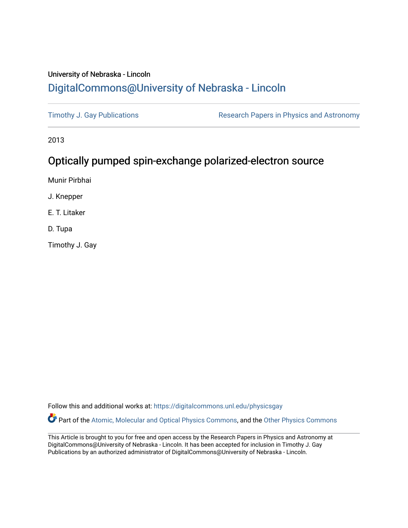## University of Nebraska - Lincoln [DigitalCommons@University of Nebraska - Lincoln](https://digitalcommons.unl.edu/)

[Timothy J. Gay Publications](https://digitalcommons.unl.edu/physicsgay) **Research Papers in Physics and Astronomy** 

2013

## Optically pumped spin-exchange polarized-electron source

Munir Pirbhai

J. Knepper

E. T. Litaker

D. Tupa

Timothy J. Gay

Follow this and additional works at: [https://digitalcommons.unl.edu/physicsgay](https://digitalcommons.unl.edu/physicsgay?utm_source=digitalcommons.unl.edu%2Fphysicsgay%2F85&utm_medium=PDF&utm_campaign=PDFCoverPages)

Part of the [Atomic, Molecular and Optical Physics Commons,](http://network.bepress.com/hgg/discipline/195?utm_source=digitalcommons.unl.edu%2Fphysicsgay%2F85&utm_medium=PDF&utm_campaign=PDFCoverPages) and the [Other Physics Commons](http://network.bepress.com/hgg/discipline/207?utm_source=digitalcommons.unl.edu%2Fphysicsgay%2F85&utm_medium=PDF&utm_campaign=PDFCoverPages) 

This Article is brought to you for free and open access by the Research Papers in Physics and Astronomy at DigitalCommons@University of Nebraska - Lincoln. It has been accepted for inclusion in Timothy J. Gay Publications by an authorized administrator of DigitalCommons@University of Nebraska - Lincoln.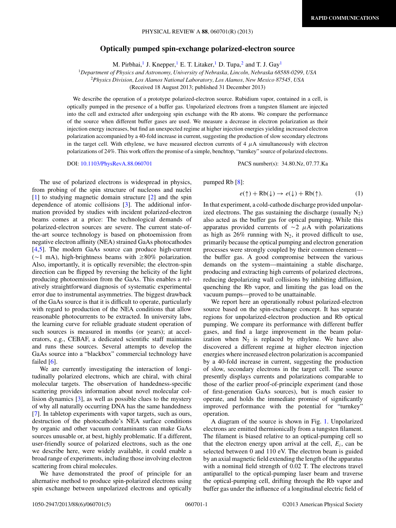## **Optically pumped spin-exchange polarized-electron source**

M. Pirbhai,<sup>1</sup> J. Knepper,<sup>1</sup> E. T. Litaker,<sup>1</sup> D. Tupa,<sup>2</sup> and T. J. Gay<sup>1</sup>

<span id="page-1-0"></span><sup>1</sup>*Department of Physics and Astronomy, University of Nebraska, Lincoln, Nebraska 68588-0299, USA*

<sup>2</sup>*Physics Division, Los Alamos National Laboratory, Los Alamos, New Mexico 87545, USA*

(Received 18 August 2013; published 31 December 2013)

We describe the operation of a prototype polarized-electron source. Rubidium vapor, contained in a cell, is optically pumped in the presence of a buffer gas. Unpolarized electrons from a tungsten filament are injected into the cell and extracted after undergoing spin exchange with the Rb atoms. We compare the performance of the source when different buffer gases are used. We measure a decrease in electron polarization as their injection energy increases, but find an unexpected regime at higher injection energies yielding increased electron polarization accompanied by a 40-fold increase in current, suggesting the production of slow secondary electrons in the target cell. With ethylene, we have measured electron currents of  $4 \mu A$  simultaneously with electron polarizations of 24%. This work offers the promise of a simple, benchtop, "turnkey" source of polarized electrons.

DOI: [10.1103/PhysRevA.88.060701](http://dx.doi.org/10.1103/PhysRevA.88.060701) PACS number(s): 34*.*80*.*Nz*,* 07*.*77*.*Ka

The use of polarized electrons is widespread in physics, from probing of the spin structure of nucleons and nuclei [\[1\]](#page-4-0) to studying magnetic domain structure [\[2\]](#page-4-0) and the spin dependence of atomic collisions [\[3\]](#page-4-0). The additional information provided by studies with incident polarized-electron beams comes at a price: The technological demands of polarized-electron sources are severe. The current state-ofthe-art source technology is based on photoemission from negative electron affinity (NEA) strained GaAs photocathodes [\[4,5\]](#page-4-0). The modern GaAs source can produce high-current  $(\sim 1 \text{ mA})$ , high-brightness beams with  $\geq 80\%$  polarization. Also, importantly, it is optically reversible; the electron-spin direction can be flipped by reversing the helicity of the light producing photoemission from the GaAs. This enables a relatively straightforward diagnosis of systematic experimental error due to instrumental asymmetries. The biggest drawback of the GaAs source is that it is difficult to operate, particularly with regard to production of the NEA conditions that allow reasonable photocurrents to be extracted. In university labs, the learning curve for reliable graduate student operation of such sources is measured in months (or years); at accelerators, e.g., CEBAF, a dedicated scientific staff maintains and runs these sources. Several attempts to develop the GaAs source into a "blackbox" commercial technology have failed [\[6\]](#page-4-0).

We are currently investigating the interaction of longitudinally polarized electrons, which are chiral, with chiral molecular targets. The observation of handedness-specific scattering provides information about novel molecular collision dynamics [\[3\]](#page-4-0), as well as possible clues to the mystery of why all naturally occurring DNA has the same handedness [\[7\]](#page-4-0). In tabletop experiments with vapor targets, such as ours, destruction of the photocathode's NEA surface conditions by organic and other vacuum contaminants can make GaAs sources unusable or, at best, highly problematic. If a different, user-friendly source of polarized electrons, such as the one we describe here, were widely available, it could enable a broad range of experiments, including those involving electron scattering from chiral molecules.

We have demonstrated the proof of principle for an alternative method to produce spin-polarized electrons using spin exchange between unpolarized electrons and optically

pumped Rb [\[8\]](#page-4-0):

$$
e(\uparrow) + \text{Rb}(\downarrow) \to e(\downarrow) + \text{Rb}(\uparrow). \tag{1}
$$

In that experiment, a cold-cathode discharge provided unpolarized electrons. The gas sustaining the discharge (usually  $N_2$ ) also acted as the buffer gas for optical pumping. While this apparatus provided currents of  $\sim$ 2  $\mu$ A with polarizations as high as  $26\%$  running with N<sub>2</sub>, it proved difficult to use, primarily because the optical pumping and electron generation processes were strongly coupled by their common element the buffer gas. A good compromise between the various demands on the system—maintaining a stable discharge, producing and extracting high currents of polarized electrons, reducing depolarizing wall collisions by inhibiting diffusion, quenching the Rb vapor, and limiting the gas load on the vacuum pumps—proved to be unattainable.

We report here an operationally robust polarized-electron source based on the spin-exchange concept. It has separate regions for unpolarized-electron production and Rb optical pumping. We compare its performance with different buffer gases, and find a large improvement in the beam polarization when  $N_2$  is replaced by ethylene. We have also discovered a different regime at higher electron injection energies where increased electron polarization is accompanied by a 40-fold increase in current, suggesting the production of slow, secondary electrons in the target cell. The source presently displays currents and polarizations comparable to those of the earlier proof-of-principle experiment (and those of first-generation GaAs sources), but is much easier to operate, and holds the immediate promise of significantly improved performance with the potential for "turnkey" operation.

A diagram of the source is shown in Fig. [1.](#page-2-0) Unpolarized electrons are emitted thermionically from a tungsten filament. The filament is biased relative to an optical-pumping cell so that the electron energy upon arrival at the cell,  $E_i$ , can be selected between 0 and 110 eV. The electron beam is guided by an axial magnetic field extending the length of the apparatus with a nominal field strength of 0.02 T. The electrons travel antiparallel to the optical-pumping laser beam and traverse the optical-pumping cell, drifting through the Rb vapor and buffer gas under the influence of a longitudinal electric field of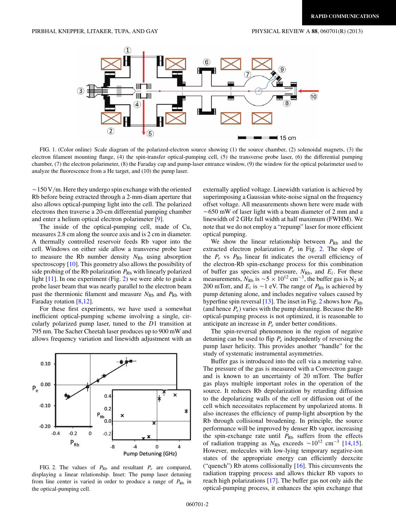<span id="page-2-0"></span>

FIG. 1. (Color online) Scale diagram of the polarized-electron source showing (1) the source chamber, (2) solenoidal magnets, (3) the electron filament mounting flange, (4) the spin-transfer optical-pumping cell, (5) the transverse probe laser, (6) the differential pumping chamber, (7) the electron polarimeter, (8) the Faraday cup and pump-laser entrance window, (9) the window for the optical polarimeter used to analyze the fluorescence from a He target, and (10) the pump laser.

~150 V/m. Here they undergo spin exchange with the oriented Rb before being extracted through a 2-mm-diam aperture that also allows optical-pumping light into the cell. The polarized electrons then traverse a 20-cm differential pumping chamber and enter a helium optical electron polarimeter [\[9\]](#page-4-0).

The inside of the optical-pumping cell, made of Cu, measures 2.8 cm along the source axis and is 2 cm in diameter. A thermally controlled reservoir feeds Rb vapor into the cell. Windows on either side allow a transverse probe laser to measure the Rb number density  $N_{\text{Rb}}$  using absorption spectroscopy [\[10\]](#page-4-0). This geometry also allows the possibility of side probing of the Rb polarization  $P_{\text{Rb}}$  with linearly polarized light [\[11\]](#page-4-0). In one experiment (Fig. 2) we were able to guide a probe laser beam that was nearly parallel to the electron beam past the thermionic filament and measure  $N_{\text{Rb}}$  and  $P_{\text{Rb}}$  with Faraday rotation [\[8,](#page-4-0)[12\]](#page-5-0).

For these first experiments, we have used a somewhat inefficient optical-pumping scheme involving a single, circularly polarized pump laser, tuned to the *D*1 transition at 795 nm. The Sacher Cheetah laser produces up to 900 mW and allows frequency variation and linewidth adjustment with an



FIG. 2. The values of  $P_{\text{Rb}}$  and resultant  $P_e$  are compared, displaying a linear relationship. Inset: The pump laser detuning from line center is varied in order to produce a range of  $P_{\text{Rb}}$  in the optical-pumping cell.

externally applied voltage. Linewidth variation is achieved by superimposing a Gaussian white-noise signal on the frequency offset voltage. All measurements shown here were made with -650 mW of laser light with a beam diameter of 2 mm and a linewidth of 2 GHz full width at half maximum (FWHM). We note that we do not employ a "repump" laser for more efficient optical pumping.

We show the linear relationship between  $P_{\text{Rb}}$  and the extracted electron polarization *Pe* in Fig. 2. The slope of the  $P_e$  vs  $P_{\text{Rb}}$  linear fit indicates the overall efficiency of the electron-Rb spin-exchange process for this combination of buffer gas species and pressure,  $N_{\text{Rb}}$ , and  $E_i$ . For these measurements,  $N_{\text{Rb}}$  is  $\sim$  5  $\times$  10<sup>12</sup> cm<sup>-3</sup>, the buffer gas is N<sub>2</sub> at 200 mTorr, and  $E_i$  is  $\sim$  1 eV. The range of  $P_{\text{Rb}}$  is achieved by pump detuning alone, and includes negative values caused by hyperfine spin reversal [\[13\]](#page-5-0). The inset in Fig. 2 shows how  $P_{\text{Rb}}$ (and hence  $P_e$ ) varies with the pump detuning. Because the Rb optical-pumping process is not optimized, it is reasonable to anticipate an increase in *Pe* under better conditions.

The spin-reversal phenomenon in the region of negative detuning can be used to flip *Pe* independently of reversing the pump laser helicity. This provides another "handle" for the study of systematic instrumental asymmetries.

Buffer gas is introduced into the cell via a metering valve. The pressure of the gas is measured with a Convectron gauge and is known to an uncertainty of 20 mTorr. The buffer gas plays multiple important roles in the operation of the source. It reduces Rb depolarization by retarding diffusion to the depolarizing walls of the cell or diffusion out of the cell which necessitates replacement by unpolarized atoms. It also increases the efficiency of pump-light absorption by the Rb through collisional broadening. In principle, the source performance will be improved by denser Rb vapor, increasing the spin-exchange rate until  $P_{\text{Rb}}$  suffers from the effects of radiation trapping as  $N_{\text{Rb}}$  exceeds ~10<sup>12</sup> cm<sup>-3</sup> [\[14,15\]](#page-5-0). However, molecules with low-lying temporary negative-ion states of the appropriate energy can efficiently deexcite ("quench") Rb atoms collisionally  $[16]$ . This circumvents the radiation trapping process and allows thicker Rb vapors to reach high polarizations [\[17\]](#page-5-0). The buffer gas not only aids the optical-pumping process, it enhances the spin exchange that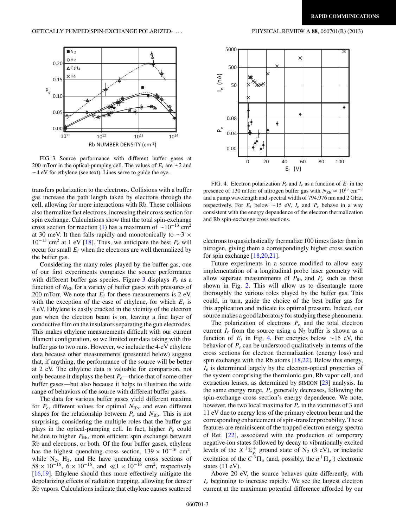

FIG. 3. Source performance with different buffer gases at 200 mTorr in the optical-pumping cell. The values of  $E_i$  are  $\sim$ 2 and  $\sim$  4 eV for ethylene (see text). Lines serve to guide the eye.

transfers polarization to the electrons. Collisions with a buffer gas increase the path length taken by electrons through the cell, allowing for more interactions with Rb. These collisions also thermalize fast electrons, increasing their cross section for spin exchange. Calculations show that the total spin-exchange cross section for reaction [\(1\)](#page-1-0) has a maximum of  $\sim 10^{-13}$  cm<sup>2</sup> at 30 meV. It then falls rapidly and monotonically to  $\sim$  3  $\times$ 10−<sup>15</sup> cm2 at 1 eV [\[18\]](#page-5-0). Thus, we anticipate the best *Pe* will occur for small *Ei* when the electrons are well thermalized by the buffer gas.

Considering the many roles played by the buffer gas, one of our first experiments compares the source performance with different buffer gas species. Figure 3 displays *Pe* as a function of  $N_{\rm Rb}$  for a variety of buffer gases with pressures of 200 mTorr. We note that  $E_i$  for these measurements is 2 eV, with the exception of the case of ethylene, for which  $E_i$  is 4 eV. Ethylene is easily cracked in the vicinity of the electron gun when the electron beam is on, leaving a fine layer of conductive film on the insulators separating the gun electrodes. This makes ethylene measurements difficult with our current filament configuration, so we limited our data taking with this buffer gas to two runs. However, we include the 4-eV ethylene data because other measurements (presented below) suggest that, if anything, the performance of the source will be better at 2 eV. The ethylene data is valuable for comparison, not only because it displays the best *Pe*—thrice that of some other buffer gases—but also because it helps to illustrate the wide range of behaviors of the source with different buffer gases.

The data for various buffer gases yield different maxima for  $P_e$ , different values for optimal  $N_{\rm Rb}$ , and even different shapes for the relationship between  $P_e$  and  $N_{\text{Rb}}$ . This is not surprising, considering the multiple roles that the buffer gas plays in the optical-pumping cell. In fact, higher *Pe* could be due to higher  $P_{\text{Rb}}$ , more efficient spin exchange between Rb and electrons, or both. Of the four buffer gases, ethylene has the highest quenching cross section,  $139 \times 10^{-16}$  cm<sup>2</sup>, while  $N_2$ ,  $H_2$ , and He have quenching cross sections of  $58 \times 10^{-16}$ ,  $6 \times 10^{-16}$ , and  $\ll 1 \times 10^{-16}$  cm<sup>2</sup>, respectively [\[16,19\]](#page-5-0). Ethylene should thus more effectively mitigate the depolarizing effects of radiation trapping, allowing for denser Rb vapors. Calculations indicate that ethylene causes scattered





FIG. 4. Electron polarization  $P_e$  and  $I_e$  as a function of  $E_i$  in the presence of 130 mTorr of nitrogen buffer gas with  $N_{\text{Rb}} \approx 10^{13} \text{ cm}^{-3}$ and a pump wavelength and spectral width of 794.976 nm and 2 GHz, respectively. For  $E_i$  below  $\sim$  15 eV,  $I_e$  and  $P_e$  behave in a way consistent with the energy dependence of the electron thermalization and Rb spin-exchange cross sections.

electrons to quasielastically thermalize 100 times faster than in nitrogen, giving them a correspondingly higher cross section for spin exchange [\[18,20,21\]](#page-5-0).

Future experiments in a source modified to allow easy implementation of a longitudinal probe laser geometry will allow separate measurements of  $P_{\text{Rb}}$  and  $P_e$  such as those shown in Fig. [2.](#page-2-0) This will allow us to disentangle more thoroughly the various roles played by the buffer gas. This could, in turn, guide the choice of the best buffer gas for this application and indicate its optimal pressure. Indeed, our source makes a good laboratory for studying these phenomena.

The polarization of electrons  $P_e$  and the total electron current  $I_e$  from the source using a  $N_2$  buffer is shown as a function of  $E_i$  in Fig. 4. For energies below  $\sim$ 15 eV, the behavior of *Pe* can be understood qualitatively in terms of the cross sections for electron thermalization (energy loss) and spin exchange with the Rb atoms [\[18,22\]](#page-5-0). Below this energy, *Ie* is determined largely by the electron-optical properties of the system comprising the thermionic gun, Rb vapor cell, and extraction lenses, as determined by SIMION [\[23\]](#page-5-0) analysis. In the same energy range, *Pe* generally decreases, following the spin-exchange cross section's energy dependence. We note, however, the two local maxima for *Pe* in the vicinities of 3 and 11 eV due to energy loss of the primary electron beam and the corresponding enhancement of spin-transfer probability. These features are reminiscent of the trapped electron energy spectra of Ref. [\[22\]](#page-5-0), associated with the production of temporary negative-ion states followed by decay to vibrationally excited levels of the  $X^1\Sigma_g^+$  ground state of N<sub>2</sub> (3 eV), or inelastic excitation of the  $C^3\Pi_u$  (and, possibly, the  $a^1\Pi_g$ ) electronic states (11 eV).

Above 20 eV, the source behaves quite differently, with *Ie* beginning to increase rapidly. We see the largest electron current at the maximum potential difference afforded by our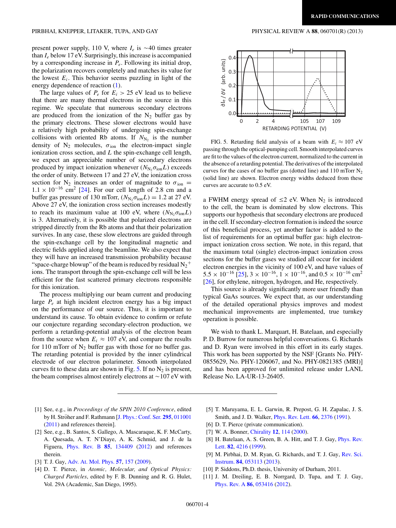<span id="page-4-0"></span>present power supply, 110 V, where  $I_e$  is  $\sim$  40 times greater than *Ie* below 17 eV. Surprisingly, this increase is accompanied by a corresponding increase in *Pe*. Following its initial drop, the polarization recovers completely and matches its value for the lowest  $E_i$ . This behavior seems puzzling in light of the energy dependence of reaction [\(1\)](#page-1-0).

The large values of  $P_e$  for  $E_i > 25$  eV lead us to believe that there are many thermal electrons in the source in this regime. We speculate that numerous secondary electrons are produced from the ionization of the  $N_2$  buffer gas by the primary electrons. These slower electrons would have a relatively high probability of undergoing spin-exchange collisions with oriented Rb atoms. If  $N_{N_2}$  is the number density of  $N_2$  molecules,  $\sigma_{ion}$  the electron-impact single ionization cross section, and *L* the spin-exchange cell length, we expect an appreciable number of secondary electrons produced by impact ionization whenever  $(N_{N_2} \sigma_{ion} L)$  exceeds the order of unity. Between 17 and 27 eV, the ionization cross section for N<sub>2</sub> increases an order of magnitude to  $\sigma_{\text{ion}} =$  $1.1 \times 10^{-16}$  cm<sup>2</sup> [\[24\]](#page-5-0). For our cell length of 2.8 cm and a buffer gas pressure of 130 mTorr,  $(N_{N_2} \sigma_{\text{ion}} L) = 1.2$  at 27 eV. Above 27 eV, the ionization cross section increases modestly to reach its maximum value at 100 eV, where  $(N_{\rm N}, \sigma_{\rm ion}L)$ is 3. Alternatively, it is possible that polarized electrons are stripped directly from the Rb atoms and that their polarization survives. In any case, these slow electrons are guided through the spin-exchange cell by the longitudinal magnetic and electric fields applied along the beamline. We also expect that they will have an increased transmission probability because "space-charge blowup" of the beam is reduced by residual  $N_2$ <sup>+</sup> ions. The transport through the spin-exchange cell will be less efficient for the fast scattered primary electrons responsible for this ionization.

The process multiplying our beam current and producing large *Pe* at high incident electron energy has a big impact on the performance of our source. Thus, it is important to understand its cause. To obtain evidence to confirm or refute our conjecture regarding secondary-electron production, we perform a retarding-potential analysis of the electron beam from the source when  $E_i \approx 107$  eV, and compare the results for 110 mTorr of  $N_2$  buffer gas with those for no buffer gas. The retarding potential is provided by the inner cylindrical electrode of our electron polarimeter. Smooth interpolated curves fit to these data are shown in Fig. 5. If no  $N_2$  is present, the beam comprises almost entirely electrons at  $\sim$  107 eV with



FIG. 5. Retarding field analysis of a beam with  $E_i \approx 107$  eV passing through the optical-pumping cell. Smooth interpolated curves are fit to the values of the electron current, normalized to the current in the absence of a retarding potential. The derivatives of the interpolated curves for the cases of no buffer gas (dotted line) and  $110$  mTorr  $N_2$ (solid line) are shown. Electron energy widths deduced from these curves are accurate to 0.5 eV.

a FWHM energy spread of  $\leq$  2 eV. When N<sub>2</sub> is introduced to the cell, the beam is dominated by slow electrons. This supports our hypothesis that secondary electrons are produced in the cell. If secondary-electron formation is indeed the source of this beneficial process, yet another factor is added to the list of requirements for an optimal buffer gas: high electronimpact ionization cross section. We note, in this regard, that the maximum total (single) electron-impact ionization cross sections for the buffer gases we studied all occur for incident electron energies in the vicinity of 100 eV, and have values of  $5.5 \times 10^{-16}$  [\[25\]](#page-5-0),  $3 \times 10^{-16}$ ,  $1 \times 10^{-16}$ , and  $0.5 \times 10^{-16}$  cm<sup>2</sup> [\[26\]](#page-5-0), for ethylene, nitrogen, hydrogen, and He, respectively.

This source is already significantly more user friendly than typical GaAs sources. We expect that, as our understanding of the detailed operational physics improves and modest mechanical improvements are implemented, true turnkey operation is possible.

We wish to thank L. Marquart, H. Batelaan, and especially P. D. Burrow for numerous helpful conversations. G. Richards and D. Ryan were involved in this effort in its early stages. This work has been supported by the NSF [Grants No. PHY-0855629, No. PHY-1206067, and No. PHY-0821385 (MRI)] and has been approved for unlimited release under LANL Release No. LA-UR-13-26405.

- [1] See, e.g., in *Proceedings of the SPIN 2010 Conference*, edited by H. Ströher and F. Rathmann [[J. Phys.: Conf. Ser.](http://dx.doi.org/10.1088/1742-6596/295/1/011001) [295](http://dx.doi.org/10.1088/1742-6596/295/1/011001), [011001](http://dx.doi.org/10.1088/1742-6596/295/1/011001) [\(2011\)](http://dx.doi.org/10.1088/1742-6596/295/1/011001) and references therein].
- [2] See, e.g., B. Santos, S. Gallego, A. Mascaraque, K. F. McCarty, A. Quesada, A. T. N'Diaye, A. K. Schmid, and J. de la Figuera, [Phys. Rev. B](http://dx.doi.org/10.1103/PhysRevB.85.134409) **[85](http://dx.doi.org/10.1103/PhysRevB.85.134409)**, [134409](http://dx.doi.org/10.1103/PhysRevB.85.134409) [\(2012\)](http://dx.doi.org/10.1103/PhysRevB.85.134409) and references therein.
- [3] T. J. Gay, [Adv. At. Mol. Phys.](http://dx.doi.org/10.1016/S1049-250X(09)57004-8) **[57](http://dx.doi.org/10.1016/S1049-250X(09)57004-8)**, [157](http://dx.doi.org/10.1016/S1049-250X(09)57004-8) [\(2009\)](http://dx.doi.org/10.1016/S1049-250X(09)57004-8).
- [4] D. T. Pierce, in *Atomic, Molecular, and Optical Physics: Charged Particles*, edited by F. B. Dunning and R. G. Hulet, Vol. 29A (Academic, San Diego, 1995).
- [5] T. Maruyama, E. L. Garwin, R. Prepost, G. H. Zapalac, J. S. Smith, and J. D. Walker, [Phys. Rev. Lett.](http://dx.doi.org/10.1103/PhysRevLett.66.2376) **[66](http://dx.doi.org/10.1103/PhysRevLett.66.2376)**, [2376](http://dx.doi.org/10.1103/PhysRevLett.66.2376) [\(1991\)](http://dx.doi.org/10.1103/PhysRevLett.66.2376).
- [6] D. T. Pierce (private communication).
- [7] W. A. Bonner, [Chirality](http://dx.doi.org/10.1002/(SICI)1520-636X(2000)12:3%3C114::AID-CHIR3%3E3.0.CO;2-N) **[12](http://dx.doi.org/10.1002/(SICI)1520-636X(2000)12:3%3C114::AID-CHIR3%3E3.0.CO;2-N)**, [114](http://dx.doi.org/10.1002/(SICI)1520-636X(2000)12:3%3C114::AID-CHIR3%3E3.0.CO;2-N) [\(2000\)](http://dx.doi.org/10.1002/(SICI)1520-636X(2000)12:3%3C114::AID-CHIR3%3E3.0.CO;2-N).
- [8] [H. Batelaan, A. S. Green, B. A. Hitt, and T. J. Gay,](http://dx.doi.org/10.1103/PhysRevLett.82.4216) *Phys. Rev.* Lett. **[82](http://dx.doi.org/10.1103/PhysRevLett.82.4216)**, [4216](http://dx.doi.org/10.1103/PhysRevLett.82.4216) [\(1999\)](http://dx.doi.org/10.1103/PhysRevLett.82.4216).
- [9] [M. Pirbhai, D. M. Ryan, G. Richards, and T. J. Gay,](http://dx.doi.org/10.1063/1.4807745) Rev. Sci. Instrum. **[84](http://dx.doi.org/10.1063/1.4807745)**, [053113](http://dx.doi.org/10.1063/1.4807745) [\(2013\)](http://dx.doi.org/10.1063/1.4807745).
- [10] P. Siddons, Ph.D. thesis, University of Durham, 2011.
- [11] J. M. Dreiling, E. B. Norrgard, D. Tupa, and T. J. Gay, [Phys. Rev. A](http://dx.doi.org/10.1103/PhysRevA.86.053416) **[86](http://dx.doi.org/10.1103/PhysRevA.86.053416)**, [053416](http://dx.doi.org/10.1103/PhysRevA.86.053416) [\(2012\)](http://dx.doi.org/10.1103/PhysRevA.86.053416).